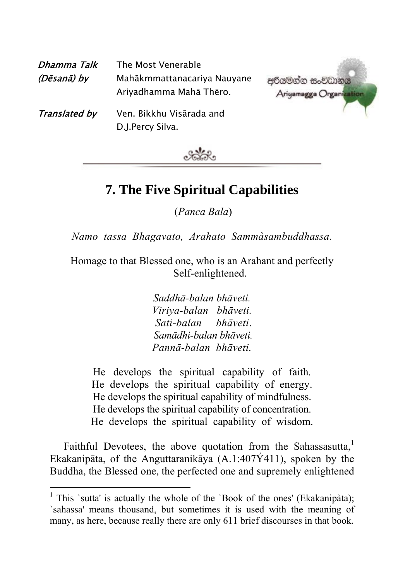| Dhamma Talk<br>(Dēsanā) by | The Most Venerable<br>Mahākmmattanacariya Nauyane<br>Ariyadhamma Mahā Thēro. | අරියමන්න සංවිධානය<br>Ariyamagga Organi |
|----------------------------|------------------------------------------------------------------------------|----------------------------------------|
| Translated by              | Ven. Bikkhu Visārada and<br>D.J.Percy Silva.                                 |                                        |



## **7. The Five Spiritual Capabilities**

(*Panca Bala*)

*Namo tassa Bhagavato, Arahato Sammàsambuddhassa.*

Homage to that Blessed one, who is an Arahant and perfectly Self-enlightened.

> *Saddhā-balan bhāveti. Viriya-balan bhāveti. Sati-balan bhāveti*.  *Samādhi-balan bhāveti. Pannā-balan bhāveti.*

He develops the spiritual capability of faith. He develops the spiritual capability of energy. He develops the spiritual capability of mindfulness. He develops the spiritual capability of concentration. He develops the spiritual capability of wisdom.

Faithful Devotees, the above quotation from the Sahassasutta,<sup>1</sup> Ekakanipāta, of the Anguttaranikāya (A.1:407Ý411), spoken by the Buddha, the Blessed one, the perfected one and supremely enlightened

<sup>&</sup>lt;sup>1</sup> This `sutta' is actually the whole of the `Book of the ones' (Ekakanipàta); `sahassa' means thousand, but sometimes it is used with the meaning of many, as here, because really there are only 611 brief discourses in that book.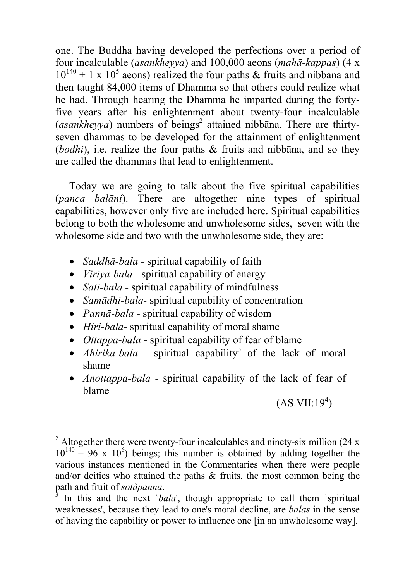one. The Buddha having developed the perfections over a period of four incalculable (*asankheyya*) and 100,000 aeons (*mahā-kappas*) (4 x  $10^{140} + 1 \times 10^5$  aeons) realized the four paths & fruits and nibbana and then taught  $84,000$  items of Dhamma so that others could realize what he had. Through hearing the Dhamma he imparted during the fortyfive years after his enlightenment about twenty-four incalculable (*asankheyya*) numbers of beings<sup>2</sup> attained nibbana. There are thirtyseven dhammas to be developed for the attainment of enlightenment (*bodhi*), i.e. realize the four paths & fruits and nibbāna, and [so](#page-1-0) they are called the dhammas that lead to enlightenment.

Today we are going to talk about the five spiritual capabilities (*panca balāni*). There are altogether nine types of spiritual capabilities, however only five are included here. Spiritual capabilities belong to both the wholesome and unwholesome sides, seven with the wholesome side and two with the unwholesome side, they are:

- *Saddhā-bala* spiritual capability of faith
- *Viriya-bala -* spiritual capability of energy
- *Sati-bala -* spiritual capability of mindfulness
- *Samādhi-bala-* spiritual capability of concentration
- *Pannā-bala -* spiritual capability of wisdom

l

- *Hiri-bala-* spiritual capability of moral shame
- *Ottappa-bala -* spiritual capability of fear of blame
- *Ahirika-bala* spiritual capability<sup>3</sup> of the lack of moral shame
- *Anottappa-bala -* spiritual capability of the lack of fear of blame

 $(AS.VII:19<sup>4</sup>)$ 

<sup>&</sup>lt;sup>2</sup> Altogether there were twenty-four incalculables and ninety-six million (24 x  $10^{140}$  + 96 x 10<sup>6</sup>) beings; this number is obtained by adding together the various instances mentioned in the Commentaries when there were people and/or deities who attained the paths  $\&$  fruits, the most common being the path and fruit of *sotàpanna*. 3

<span id="page-1-0"></span>In this and the next *`bala'*, though appropriate to call them *`spiritual* weaknesses', because they lead to one's moral decline, are *balas* in the sense of having the capability or power to influence one [in an unwholesome way].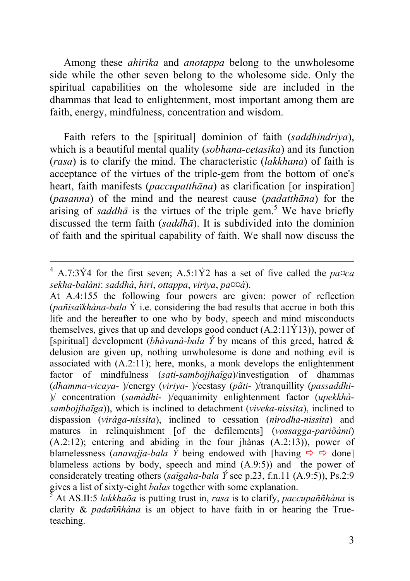Among these *ahirika* and *anotappa* belong to the unwholesome side while the other seven belong to the wholesome side. Only the spiritual capabilities on the wholesome side are included in the dhammas that lead to enlightenment, most important among them are faith, energy, mindfulness, concentration and wisdom.

Faith refers to the [spiritual] dominion of faith (*saddhindriya*), which is a beautiful mental quality (*sobhana-cetasika*) and its function (*rasa*) is to clarify the mind. The characteristic (*lakkhana*) of faith is acceptance of the virtues of the triple-gem from the bottom of one's heart, faith manifests (*paccupatthāna*) as clarification [or inspiration] (*pasanna*) of the mind and the nearest cause (*padatthāna*) for the arising of *saddhā* is the virtues of the triple gem. 5 We have briefly discussed the term faith (*saddhā*). It is subdivided into the dominion of faith and the spiritual capability of faith. We shall now discuss the

 $4$  A.7:3Y4 for the first seven; A.5:1Y2 has a set of five called the *pa* $\alpha a$ *sekha-balàni*: *saddhà*, *hiri*, *ottappa*, *viriya*, *pa¤¤à*).

At A.4:155 the following four powers are given: power of reflection (*pañisaïkhàna*-*bala* Ý i.e. considering the bad results that accrue in both this life and the hereafter to one who by body, speech and mind misconducts themselves, gives that up and develops good conduct  $(A.2:11\hat{Y}13)$ ), power of [spiritual] development *(bhàvanà-bala Ý* by means of this greed, hatred  $\&$ delusion are given up, nothing unwholesome is done and nothing evil is associated with (A.2:11); here, monks, a monk develops the enlightenment factor of mindfulness (*sati-sambojjhaïga*)/investigation of dhammas (*dhamma-vicaya*- )/energy (*viriya*- )/ecstasy (*pãti*- )/tranquillity (*passaddhi*- )/ concentration (*samàdhi*- )/equanimity enlightenment factor (*upekkhàsambojjhaïga*)), which is inclined to detachment (*viveka-nissita*), inclined to dispassion (*viràga-nissita*), inclined to cessation (*nirodha-nissita*) and matures in relinquishment [of the defilements] (*vossagga-pariõàmi*) (A.2:12); entering and abiding in the four jhànas (A.2:13)), power of blamelessness (*anavajja-bala* Y being endowed with [having  $\Rightarrow$   $\Rightarrow$  done] blameless actions by body, speech and mind  $(A.9.5)$  and the power of considerately treating others (*saïgaha-bala Ý* see p.23, f.n.11 (A.9:5)), Ps.2:9 gives a list of sixty-eight *balas* together with some explanation. 5

At AS.II:5 *lakkhaõa* is putting trust in, *rasa* is to clarify, *paccupaññhàna* is clarity & *padaññhàna* is an object to have faith in or hearing the Trueteaching.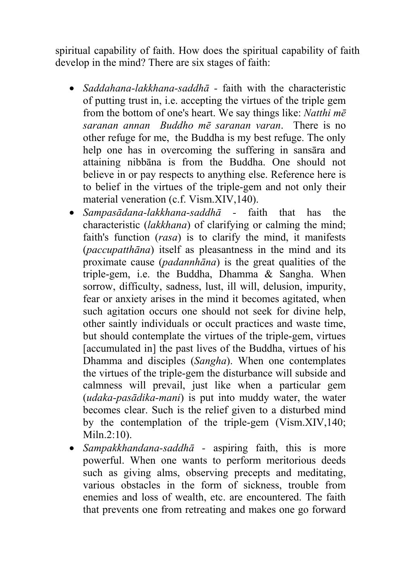spiritual capability of faith. How does the spiritual capability of faith develop in the mind? There are six stages of faith:

- *Saddahana-lakkhana-saddhā -* faith with the characteristic of putting trust in, i.e. accepting the virtues of the triple gem from the bottom of one's heart. We say things like: *Natthi mē saranan annan Buddho mē saranan varan*.There is no other refuge for me, the Buddha is my best refuge. The only help one has in overcoming the suffering in sansāra and attaining nibbāna is from the Buddha. One should not believe in or pay respects to anything else. Reference here is to belief in the virtues of the triple-gem and not only their material veneration (c.f. Vism.XIV,140).
- *Sampasādana-lakkhana-saddhā -* faith that has the characteristic (*lakkhana*) of clarifying or calming the mind; faith's function (*rasa*) is to clarify the mind, it manifests (*paccupatthāna*) itself as pleasantness in the mind and its proximate cause (*padannhāna*) is the great qualities of the triple-gem, i.e. the Buddha, Dhamma & Sangha. When sorrow, difficulty, sadness, lust, ill will, delusion, impurity, fear or anxiety arises in the mind it becomes agitated, when such agitation occurs one should not seek for divine help, other saintly individuals or occult practices and waste time, but should contemplate the virtues of the triple-gem, virtues [accumulated in] the past lives of the Buddha, virtues of his Dhamma and disciples (*Sangha*). When one contemplates the virtues of the triple-gem the disturbance will subside and calmness will prevail, just like when a particular gem (*udaka-pasādika-mani*) is put into muddy water, the water becomes clear. Such is the relief given to a disturbed mind by the contemplation of the triple-gem (Vism.XIV,140; Miln.2:10).
- *Sampakkhandana-saddhā -* aspiring faith, this is more powerful. When one wants to perform meritorious deeds such as giving alms, observing precepts and meditating, various obstacles in the form of sickness, trouble from enemies and loss of wealth, etc. are encountered. The faith that prevents one from retreating and makes one go forward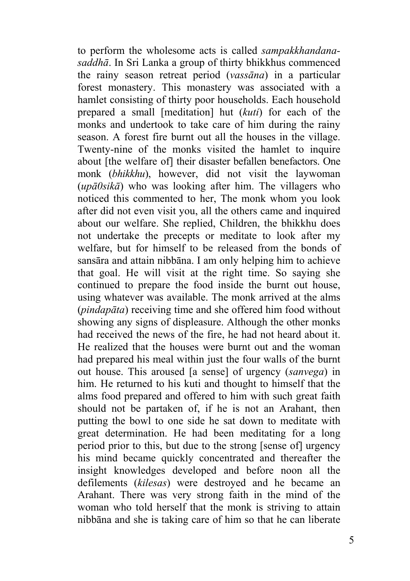to perform the wholesome acts is called *sampakkhandanasaddhā*. In Sri Lanka a group of thirty bhikkhus commenced the rainy season retreat period (*vassāna*) in a particular forest monastery. This monastery was associated with a hamlet consisting of thirty poor households. Each household prepared a small [meditation] hut (*kuti*) for each of the monks and undertook to take care of him during the rainy season. A forest fire burnt out all the houses in the village. Twenty-nine of the monks visited the hamlet to inquire about [the welfare of] their disaster befallen benefactors. One monk (*bhikkhu*), however, did not visit the laywoman (*upā0sikā*) who was looking after him. The villagers who noticed this commented to her, The monk whom you look after did not even visit you, all the others came and inquired about our welfare. She replied, Children, the bhikkhu does not undertake the precepts or meditate to look after my welfare, but for himself to be released from the bonds of sansāra and attain nibbāna. I am only helping him to achieve that goal. He will visit at the right time. So saying she continued to prepare the food inside the burnt out house, using whatever was available. The monk arrived at the alms (*pindapāta*) receiving time and she offered him food without showing any signs of displeasure. Although the other monks had received the news of the fire, he had not heard about it. He realized that the houses were burnt out and the woman had prepared his meal within just the four walls of the burnt out house. This aroused [a sense] of urgency (*sanvega*) in him. He returned to his kuti and thought to himself that the alms food prepared and offered to him with such great faith should not be partaken of, if he is not an Arahant, then putting the bowl to one side he sat down to meditate with great determination. He had been meditating for a long period prior to this, but due to the strong [sense of] urgency his mind became quickly concentrated and thereafter the insight knowledges developed and before noon all the defilements (*kilesas*) were destroyed and he became an Arahant. There was very strong faith in the mind of the woman who told herself that the monk is striving to attain nibbāna and she is taking care of him so that he can liberate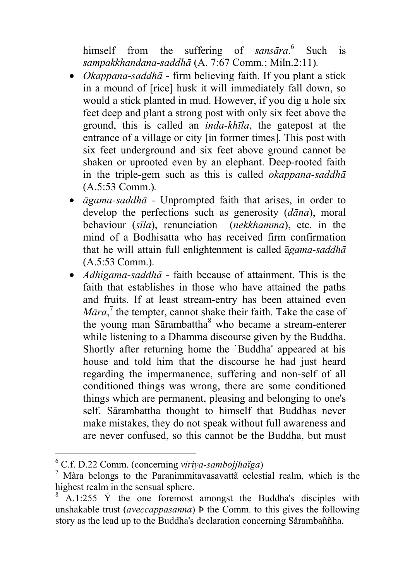himself from the suffering of *sansāra*.<sup>6</sup> Such is *sampakkhandana-saddhā* (A. 7:67 Comm.; Miln.2:11)*.*

- *Okappana-saddhā* firm believing faith. If you plant a stick in a mound of [rice] husk it will immediately fall down, so would a stick planted in mud. However, if you dig a hole six feet deep and plant a stron[g](#page-5-0) post with only six feet above the ground, this is called an *inda-khīla*, the gate[po](#page-5-1)st at the entrance of a village or city [in former times]. This post with six feet underground and six feet above ground cannot be shaken or uprooted even by an elephant. Deep-rooted faith in the triple-gem such as this is called *okappana-saddhā* (A.5:53 Comm.)*.*
- *āgama-saddhā -* Unprompted faith that arises, in order to develop the perfections such as generosity (*dāna*), moral behaviour (*sīla*), renunciation (*nekkhamma*), etc. in the mind of a Bodhisatta who has received firm confirmation that he will attain full enlightenment is called ā*gama-saddhā* (A.5:53 Comm.).
- *Adhigama-saddhā -* faith because of attainment. This is the faith that establishes in those who have attained the paths and fruits. If at least stream-entry has been attained even *Māra*, <sup>7</sup> the tempter, cannot shake their faith. Take the case of the young man Sārambattha<sup>8</sup> who became a stream-enterer while listening to a Dhamma discourse given by the Buddha. Shortly after returning home the `Buddha' appeared at his house and told him that the discourse he had just heard regarding the impermanence, suffering and non-self of all conditioned things was wrong, there are some conditioned things which are permanent, pleasing and belonging to one's self. Sārambattha thought to himself that Buddhas never make mistakes, they do not speak without full awareness and are never confused, so this cannot be the Buddha, but must

l

<sup>&</sup>lt;sup>6</sup> C.f. D.22 Comm. (concerning *viriya-sambojjhaïga*) 7 Màrs, belongs to the Perspiring integration cologi

<span id="page-5-0"></span> $\frac{7}{1}$  Màra belongs to the Paranimmitavasavattã celestial realm, which is the highest realm in the sensual sphere.

<span id="page-5-1"></span><sup>8</sup> A.1:255  $\acute{Y}$  the one foremost amongst the Buddha's disciples with unshakable trust (*aveccappasanna*) Þ the Comm. to this gives the following story as the lead up to the Buddha's declaration concerning Sårambaññha.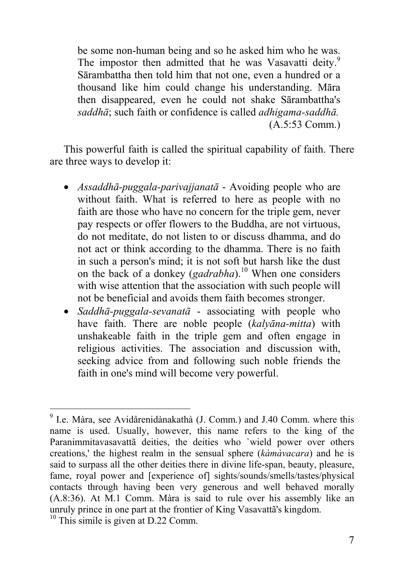be some non-human being and so he asked him who he was. The impostor then admitted that he was Vasavatti deity.<sup>9</sup> Sārambattha then told him that not one, even a hundred o[r a](#page-6-0) thousand like him could change his understanding. Māra then disappeared, even he could not shake Sārambattha's *saddhā*; such faith or confidence is called *adhigama-saddhā.* (A.5:53 Comm.)

This powerful faith is called the spiritual capability of faith. There are three ways to develop it:

- *Assaddhā-puggala-parivajjanatā* Avoiding people who are without faith. What is referred to here as people with no faith are those who have no concern for the triple gem, never pay respects or offer flowers to the Buddha, are not virtuous, do not meditate, do not listen to or discuss dhamma, and do not act or think according to the dhamma. There is no faith in such a person's mind; it is not soft but harsh like the dust on the back of a donkey (*gadrabha*).10 When one considers with wise attention that the association with such people will not be beneficial and avoids them faith becomes stronger.
- *Saddhā-puggala-sevanatā* associating with people who have faith. There are noble people (*kalyāna-mitta*) with unshakeable faith in the triple gem and often engage in religious activities. The association and discussion with, seeking advice from and following such noble friends the faith in one's mind will become very powerful.

<sup>-&</sup>lt;br>9  $9$  I.e. Màra, see Avidårenidànakathà (J. Comm.) and J.40 Comm. where this name is used. Usually, however, this name refers to the king of the Paranimmitavasavattã deities, the deities who `wield power over others creations,' the highest realm in the sensual sphere (*kàmàvacara*) and he is said to surpass all the other deities there in divine life-span, beauty, pleasure, fame, royal power and [experience of] sights/sounds/smells/tastes/physical contacts through having been very generous and well behaved morally (A.8:36). At M.1 Comm. Màra is said to rule over his assembly like an unruly prince in one part at the frontier of King Vasavattã's kingdom.<br><sup>10</sup> This simile is given at D.22 Comm.

<span id="page-6-0"></span>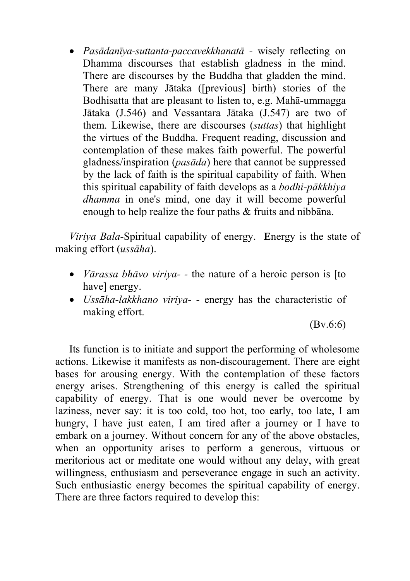• *Pasādanīya-suttanta-paccavekkhanatā -* wisely reflecting on Dhamma discourses that establish gladness in the mind. There are discourses by the Buddha that gladden the mind. There are many Jātaka ([previous] birth) stories of the Bodhisatta that are pleasant to listen to, e.g. Mahā-ummagga Jātaka (J.546) and Vessantara Jātaka (J.547) are two of them. Likewise, there are discourses (*suttas*) that highlight the virtues of the Buddha. Frequent reading, discussion and contemplation of these makes faith powerful. The powerful gladness/inspiration (*pasāda*) here that cannot be suppressed by the lack of faith is the spiritual capability of faith. When this spiritual capability of faith develops as a *bodhi-pākkhiya dhamma* in one's mind, one day it will become powerful enough to help realize the four paths & fruits and nibbāna.

*Viriya Bala-*Spiritual capability of energy. **E**nergy is the state of making effort (*ussāha*).

- *Vārassa bhāvo viriya-* the nature of a heroic person is [to have] energy.
- *Ussāha-lakkhano viriya-* energy has the characteristic of making effort.

(Bv.6:6)

Its function is to initiate and support the performing of wholesome actions. Likewise it manifests as non-discouragement. There are eight bases for arousing energy. With the contemplation of these factors energy arises. Strengthening of this energy is called the spiritual capability of energy. That is one would never be overcome by laziness, never say: it is too cold, too hot, too early, too late, I am hungry, I have just eaten, I am tired after a journey or I have to embark on a journey. Without concern for any of the above obstacles, when an opportunity arises to perform a generous, virtuous or meritorious act or meditate one would without any delay, with great willingness, enthusiasm and perseverance engage in such an activity. Such enthusiastic energy becomes the spiritual capability of energy. There are three factors required to develop this: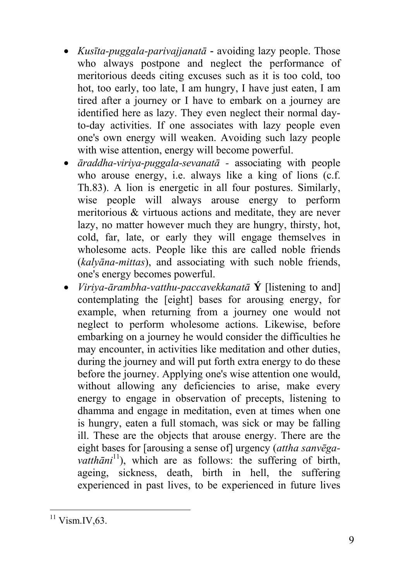- *Kusīta-puggala-parivajjanatā* **-** avoiding lazy people. Those who always postpone and neglect the performance of meritorious deeds citing excuses such as it is too cold, too hot, too early, too late, I am hungry, I have just eaten, I am tired after a journey or I have to embark on a journey are identified here as lazy. They even neglect their normal dayto-day activities. If one associates with lazy people even one's own energy will weaken. Avoiding such lazy people with wise attention, energy will become powerful.
- *āraddha-viriya-puggala-sevanatā -* associating with people who arouse energy, i.e. always like a king of lions (c.f. Th.83). A lion is energetic in all four postures. Similarly, wise people will always arouse energy to perform meritorious & virtuous actions and meditate, they are never lazy, no matter however much they are hungry, thirsty, hot, cold, far, late, or early they will engage themselves in wholesome acts. People like this are called noble friends (*kalyāna-mittas*), and assoc[iat](#page-8-0)ing with such noble friends, one's energy becomes powerful.
- *Viriya-ārambha-vatthu-paccavekkanatā* **Ý** [listening to and] contemplating the [eight] bases for arousing energy, for example, when returning from a journey one would not neglect to perform wholesome actions. Likewise, before embarking on a journey he would consider the difficulties he may encounter, in activities like meditation and other duties, during the journey and will put forth extra energy to do these before the journey. Applying one's wise attention one would, without allowing any deficiencies to arise, make every energy to engage in observation of precepts, listening to dhamma and engage in meditation, even at times when one is hungry, eaten a full stomach, was sick or may be falling ill. These are the objects that arouse energy. There are the eight bases for [arousing a sense of] urgency (*attha sanvēgavatthāni*11), which are as follows: the suffering of birth, ageing, sickness, death, birth in hell, the suffering experienced in past lives, to be experienced in future lives

<span id="page-8-0"></span> $11$  Vism.IV, 63.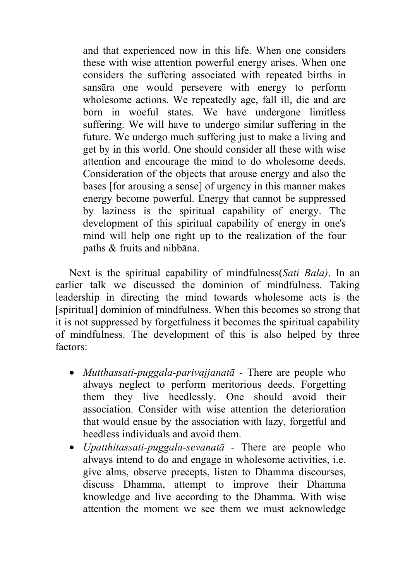and that experienced now in this life. When one considers these with wise attention powerful energy arises. When one considers the suffering associated with repeated births in sansāra one would persevere with energy to perform wholesome actions. We repeatedly age, fall ill, die and are born in woeful states. We have undergone limitless suffering. We will have to undergo similar suffering in the future. We undergo much suffering just to make a living and get by in this world. One should consider all these with wise attention and encourage the mind to do wholesome deeds. Consideration of the objects that arouse energy and also the bases [for arousing a sense] of urgency in this manner makes energy become powerful. Energy that cannot be suppressed by laziness is the spiritual capability of energy. The development of this spiritual capability of energy in one's mind will help one right up to the realization of the four paths & fruits and nibbāna.

Next is the spiritual capability of mindfulness(*Sati Bala)*. In an earlier talk we discussed the dominion of mindfulness. Taking leadership in directing the mind towards wholesome acts is the [spiritual] dominion of mindfulness. When this becomes so strong that it is not suppressed by forgetfulness it becomes the spiritual capability of mindfulness. The development of this is also helped by three factors:

- *Mutthassati-puggala-parivajjanatā* There are people who always neglect to perform meritorious deeds. Forgetting them they live heedlessly. One should avoid their association. Consider with wise attention the deterioration that would ensue by the association with lazy, forgetful and heedless individuals and avoid them.
- *Upatthitassati-puggala-sevanatā -* There are people who always intend to do and engage in wholesome activities, i.e. give alms, observe precepts, listen to Dhamma discourses, discuss Dhamma, attempt to improve their Dhamma knowledge and live according to the Dhamma. With wise attention the moment we see them we must acknowledge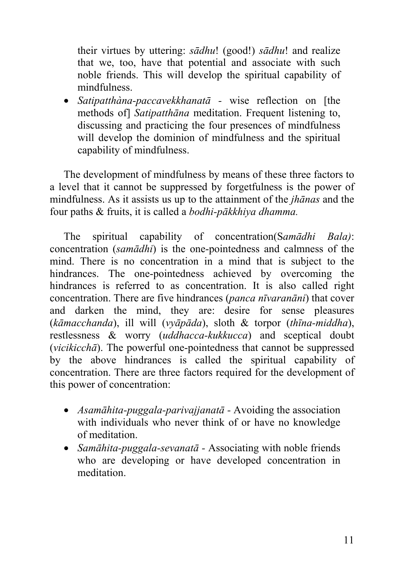their virtues by uttering: *sādhu*! (good!) *sādhu*! and realize that we, too, have that potential and associate with such noble friends. This will develop the spiritual capability of mindfulness.

• *Satipatthàna-paccavekkhanatā -* wise reflection on [the methods of] *Satipatthāna* meditation. Frequent listening to, discussing and practicing the four presences of mindfulness will develop the dominion of mindfulness and the spiritual capability of mindfulness.

The development of mindfulness by means of these three factors to a level that it cannot be suppressed by forgetfulness is the power of mindfulness. As it assists us up to the attainment of the *jhānas* and the four paths & fruits, it is called a *bodhi-pākkhiya dhamma.* 

The spiritual capability of concentration(S*amādhi Bala)*: concentration (*samādhi*) is the one-pointedness and calmness of the mind. There is no concentration in a mind that is subject to the hindrances. The one-pointedness achieved by overcoming the hindrances is referred to as concentration. It is also called right concentration. There are five hindrances (*panca nīvaranāni*) that cover and darken the mind, they are: desire for sense pleasures (*kāmacchanda*), ill will (*vyāpāda*), sloth & torpor (*thīna-middha*), restlessness & worry (*uddhacca-kukkucca*) and sceptical doubt (*vicikicchā*). The powerful one-pointedness that cannot be suppressed by the above hindrances is called the spiritual capability of concentration. There are three factors required for the development of this power of concentration:

- *Asamāhita-puggala-parivajjanatā* Avoiding the association with individuals who never think of or have no knowledge of meditation.
- *Samāhita-puggala-sevanatā -* Associating with noble friends who are developing or have developed concentration in meditation.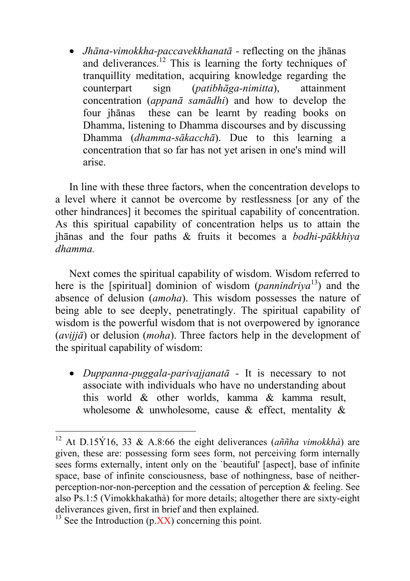• *Jhāna-vimokkha-paccavekkhanatā -* reflecting on the jhānas and deliverances.<sup>12</sup> This is learning the forty techniques of tranquillity meditation, acquiring knowledge regarding the counterpart sign (*patibhāga-nimitta*), attainment concentration (*appanā samādhi*) and how to develop the four jhānas these can be learnt by reading books on Dhamma, listening to Dhamma discourses and by discussing Dhamma (*dhamma-sākacchā*). Due to this learning a concentration that so far has not yet arisen in one's mind will arise.

In line with these three factors, when the concentration develops to a level where it cannot be overcome by restlessness [or any of the other hindrances] it becomes the spiritual capability of concentration. As this spiritual capability of concentration helps us to attain the jhānas and the four paths & fruits it becomes a *bodhi-pākkhiya dhamma.* 

Next comes the spiritual capability of wisdom. Wisdom referred to here is the [spiritual] dominion of wisdom (*pannindriya*13) and the absence of delusion (*amoha*). This wisdom possesses the nature of being able to see deeply, penetratingly. The spiritual capability of wisdom is the powerful wisdom that is not overpowered by ignorance (*avijjā*) or delusion (*moha*). Three factors help in the development of the spiritual capability of wisdom:

• *Duppanna-puggala-parivajjanatā -* It is necessary to not associate with individuals who have no understanding about this world & other worlds, kamma & kamma result, wholesome  $\&$  unwholesome, cause  $\&$  effect, mentality  $\&$ 

l

<sup>&</sup>lt;sup>12</sup> At D.15Ý16, 33 & A.8:66 the eight deliverances (*aññha vimokkhà*) are given, these are: possessing form sees form, not perceiving form internally sees forms externally, intent only on the `beautiful' [aspect], base of infinite space, base of infinite consciousness, base of nothingness, base of neitherperception-nor-non-perception and the cessation of perception & feeling. See also Ps.1:5 (Vimokkhakathà) for more details; altogether there are sixty-eight deliverances given, first in brief and then explained.

 $13$  See the Introduction (p. XX) concerning this point.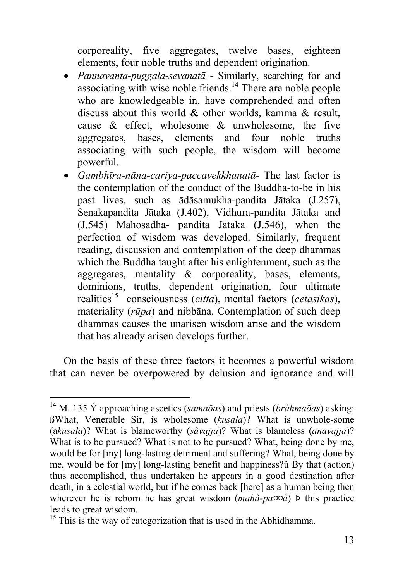corporeality, five aggregates, twelve bases, eighteen elements, four noble truths and dependent origination.

- *Pannavanta-puggala-sevanatā -* Similarly, searching for and associating with wise noble friends.<sup>14</sup> There are noble people who are knowledgeable in, [h](#page-12-0)ave comprehended and often discuss about this world & other worlds, kamma & result, cause  $\&$  effect, wholesome  $\&$  unwholesome, the five aggregates, bases, elements and four noble truths associating with such people, the wisdom will become powerful.
- *Gambhīra-nāna-cariya-paccavekkhanatā-* The last factor is the contemplation of the conduct of the Buddha-to-be in his past lives, such as ādāsamukha-pandita Jātaka (J.257), Senakapandita Jātaka (J.402), Vidhura-pandita Jātaka and (J.545) Mahosadha- pandita Jātaka (J.546), when the perfection of wisdom was developed. Similarly, frequent reading, discussion and contemplation of the deep dhammas which the Buddha taught after his enlightenment, such as the aggregates, mentality & corporeality, bases, elements, dominions, truths, dependent origination, four ultimate realities15 consciousness (*citta*), mental factors (*cetasikas*), materiality (*rūpa*) and nibbāna. Contemplation of such deep dhammas causes the unarisen wisdom arise and the wisdom that has already arisen develops further.

On the basis of these three factors it becomes a powerful wisdom that can never be overpowered by delusion and ignorance and will

 <sup>14</sup> M. 135 Ý approaching ascetics (*samaõas*) and priests (*bràhmaõas*) asking: ßWhat, Venerable Sir, is wholesome (*kusala*)? What is unwhole-some (a*kusala*)? What is blameworthy (*sàvajja*)? What is blameless (*anavajja*)? What is to be pursued? What is not to be pursued? What, being done by me, would be for [my] long-lasting detriment and suffering? What, being done by me, would be for [my] long-lasting benefit and happiness?û By that (action) thus accomplished, thus undertaken he appears in a good destination after death, in a celestial world, but if he comes back [here] as a human being then wherever he is reborn he has great wisdom (*mahà-pa¤¤à*) Þ this practice leads to great wisdom.<br><sup>15</sup> This is the way of categorization that is used in the Abhidhamma.

<span id="page-12-0"></span>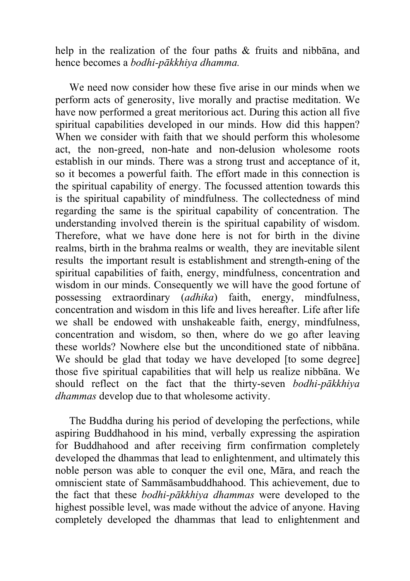help in the realization of the four paths & fruits and nibbana, and hence becomes a *bodhi-pākkhiya dhamma.* 

We need now consider how these five arise in our minds when we perform acts of generosity, live morally and practise meditation. We have now performed a great meritorious act. During this action all five spiritual capabilities developed in our minds. How did this happen? When we consider with faith that we should perform this wholesome act, the non-greed, non-hate and non-delusion wholesome roots establish in our minds. There was a strong trust and acceptance of it, so it becomes a powerful faith. The effort made in this connection is the spiritual capability of energy. The focussed attention towards this is the spiritual capability of mindfulness. The collectedness of mind regarding the same is the spiritual capability of concentration. The understanding involved therein is the spiritual capability of wisdom. Therefore, what we have done here is not for birth in the divine realms, birth in the brahma realms or wealth, they are inevitable silent results the important result is establishment and strength-ening of the spiritual capabilities of faith, energy, mindfulness, concentration and wisdom in our minds. Consequently we will have the good fortune of possessing extraordinary (*adhika*) faith, energy, mindfulness, concentration and wisdom in this life and lives hereafter. Life after life we shall be endowed with unshakeable faith, energy, mindfulness, concentration and wisdom, so then, where do we go after leaving these worlds? Nowhere else but the unconditioned state of nibbāna. We should be glad that today we have developed [to some degree] those five spiritual capabilities that will help us realize nibbāna. We should reflect on the fact that the thirty-seven *bodhi-pākkhiya dhammas* develop due to that wholesome activity.

The Buddha during his period of developing the perfections, while aspiring Buddhahood in his mind, verbally expressing the aspiration for Buddhahood and after receiving firm confirmation completely developed the dhammas that lead to enlightenment, and ultimately this noble person was able to conquer the evil one, Māra, and reach the omniscient state of Sammāsambuddhahood. This achievement, due to the fact that these *bodhi-pākkhiya dhammas* were developed to the highest possible level, was made without the advice of anyone. Having completely developed the dhammas that lead to enlightenment and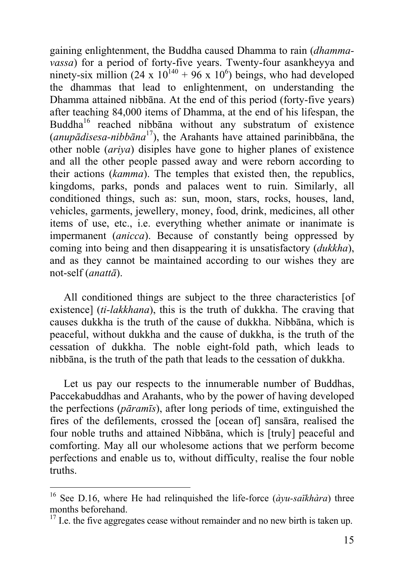gaining enlightenment, the Buddha caused Dhamma to rain (*dhammavassa*) for a period of forty-five years. Twenty-four asankheyya and ninety-six million (24 x  $10^{140} + 96$  x  $10^6$ ) beings, who had developed the dhammas that lead to enlightenment, on understanding the Dhamma attained nibbāna. At the end of this period (forty-five years) after teaching 84,000 items of Dhamma, at the end of his lifespan, the Buddha<sup>16</sup> reached nibbana without any substratum of existence (*anupādisesa-nibbāna* 17), the Arahants have attained parinibbāna, the other noble (*ariya*) disiples have gone to higher planes of existence and all the other people passed away and were reborn according to their actions (*kamma*). The temples that existed then, the republics, kingdoms, parks, ponds and palaces went to ruin. Similarly, all conditioned things, such as: sun, moon, stars, rocks, houses, land, vehicles, garments, jewellery, money, food, drink, medicines, all other items of use, etc., i.e. everything whether animate or inanimate is impermanent (*anicca*). Because of constantly being oppressed by coming into being and then disappearing it is unsatisfactory (*dukkha*), and as they cannot be maintained according to our wishes they are not-self (*anattā*).

All conditioned things are subject to the three characteristics [of existence] (*ti-lakkhana*), this is the truth of dukkha. The craving that causes dukkha is the truth of the cause of dukkha. Nibbāna, which is peaceful, without dukkha and the cause of dukkha, is the truth of the cessation of dukkha. The noble eight-fold path, which leads to nibbāna, is the truth of the path that leads to the cessation of dukkha.

Let us pay our respects to the innumerable number of Buddhas, Paccekabuddhas and Arahants, who by the power of having developed the perfections (*pāramīs*), after long periods of time, extinguished the fires of the defilements, crossed the [ocean of] sansāra, realised the four noble truths and attained Nibbāna, which is [truly] peaceful and comforting. May all our wholesome actions that we perform become perfections and enable us to, without difficulty, realise the four noble truths.

 <sup>16</sup> See D.16, where He had relinquished the life-force (*àyu-saïkhàra*) three months beforehand.<br><sup>17</sup> I.e. the five aggregates cease without remainder and no new birth is taken up.